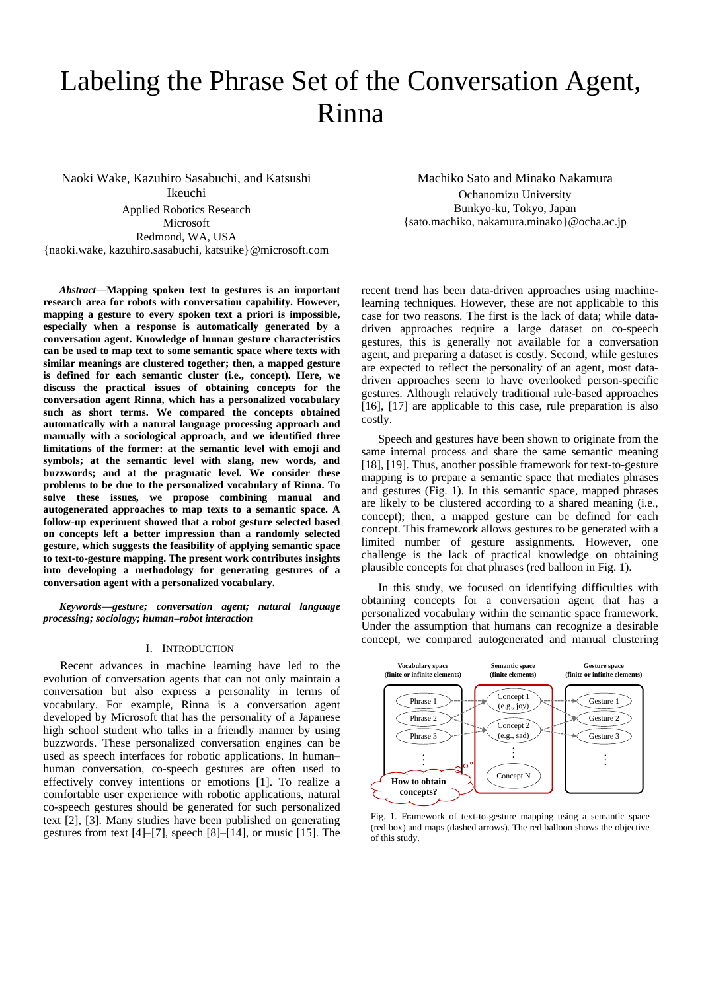# Labeling the Phrase Set of the Conversation Agent, Rinna

Naoki Wake, Kazuhiro Sasabuchi, and Katsushi Ikeuchi Applied Robotics Research Microsoft Redmond, WA, USA {naoki.wake, kazuhiro.sasabuchi, katsuike}@microsoft.com

*Abstract***—Mapping spoken text to gestures is an important research area for robots with conversation capability. However, mapping a gesture to every spoken text a priori is impossible, especially when a response is automatically generated by a conversation agent. Knowledge of human gesture characteristics can be used to map text to some semantic space where texts with similar meanings are clustered together; then, a mapped gesture is defined for each semantic cluster (i.e., concept). Here, we discuss the practical issues of obtaining concepts for the conversation agent Rinna, which has a personalized vocabulary such as short terms. We compared the concepts obtained automatically with a natural language processing approach and manually with a sociological approach, and we identified three limitations of the former: at the semantic level with emoji and symbols; at the semantic level with slang, new words, and buzzwords; and at the pragmatic level. We consider these problems to be due to the personalized vocabulary of Rinna. To solve these issues, we propose combining manual and autogenerated approaches to map texts to a semantic space. A follow-up experiment showed that a robot gesture selected based on concepts left a better impression than a randomly selected gesture, which suggests the feasibility of applying semantic space to text-to-gesture mapping. The present work contributes insights into developing a methodology for generating gestures of a conversation agent with a personalized vocabulary.**

*Keywords—gesture; conversation agent; natural language processing; sociology; human–robot interaction*

#### I. INTRODUCTION

Recent advances in machine learning have led to the evolution of conversation agents that can not only maintain a conversation but also express a personality in terms of vocabulary. For example, Rinna is a conversation agent developed by Microsoft that has the personality of a Japanese high school student who talks in a friendly manner by using buzzwords. These personalized conversation engines can be used as speech interfaces for robotic applications. In human– human conversation, co-speech gestures are often used to effectively convey intentions or emotions [1]. To realize a comfortable user experience with robotic applications, natural co-speech gestures should be generated for such personalized text [2], [3]. Many studies have been published on generating gestures from text [4]–[7], speech [8]–[14], or music [15]. The

Machiko Sato and Minako Nakamura Ochanomizu University Bunkyo-ku, Tokyo, Japan {sato.machiko, nakamura.minako}@ocha.ac.jp

recent trend has been data-driven approaches using machinelearning techniques. However, these are not applicable to this case for two reasons. The first is the lack of data; while datadriven approaches require a large dataset on co-speech gestures, this is generally not available for a conversation agent, and preparing a dataset is costly. Second, while gestures are expected to reflect the personality of an agent, most datadriven approaches seem to have overlooked person-specific gestures. Although relatively traditional rule-based approaches [16], [17] are applicable to this case, rule preparation is also costly.

Speech and gestures have been shown to originate from the same internal process and share the same semantic meaning [18], [19]. Thus, another possible framework for text-to-gesture mapping is to prepare a semantic space that mediates phrases and gestures (Fig. 1). In this semantic space, mapped phrases are likely to be clustered according to a shared meaning (i.e., concept); then, a mapped gesture can be defined for each concept. This framework allows gestures to be generated with a limited number of gesture assignments. However, one challenge is the lack of practical knowledge on obtaining plausible concepts for chat phrases (red balloon in Fig. 1).

In this study, we focused on identifying difficulties with obtaining concepts for a conversation agent that has a personalized vocabulary within the semantic space framework. Under the assumption that humans can recognize a desirable concept, we compared autogenerated and manual clustering



Fig. 1. Framework of text-to-gesture mapping using a semantic space (red box) and maps (dashed arrows). The red balloon shows the objective of this study.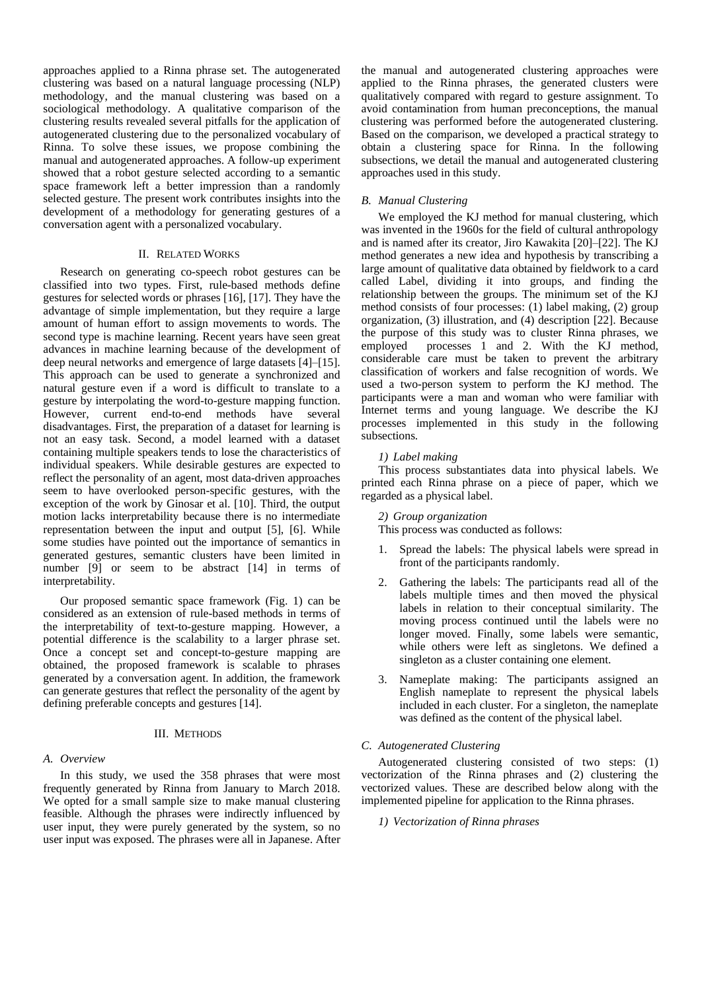approaches applied to a Rinna phrase set. The autogenerated clustering was based on a natural language processing (NLP) methodology, and the manual clustering was based on a sociological methodology. A qualitative comparison of the clustering results revealed several pitfalls for the application of autogenerated clustering due to the personalized vocabulary of Rinna. To solve these issues, we propose combining the manual and autogenerated approaches. A follow-up experiment showed that a robot gesture selected according to a semantic space framework left a better impression than a randomly selected gesture. The present work contributes insights into the development of a methodology for generating gestures of a conversation agent with a personalized vocabulary.

## II. RELATED WORKS

Research on generating co-speech robot gestures can be classified into two types. First, rule-based methods define gestures for selected words or phrases [16], [17]. They have the advantage of simple implementation, but they require a large amount of human effort to assign movements to words. The second type is machine learning. Recent years have seen great advances in machine learning because of the development of deep neural networks and emergence of large datasets [4]–[15]. This approach can be used to generate a synchronized and natural gesture even if a word is difficult to translate to a gesture by interpolating the word-to-gesture mapping function. However, current end-to-end methods have several disadvantages. First, the preparation of a dataset for learning is not an easy task. Second, a model learned with a dataset containing multiple speakers tends to lose the characteristics of individual speakers. While desirable gestures are expected to reflect the personality of an agent, most data-driven approaches seem to have overlooked person-specific gestures, with the exception of the work by Ginosar et al. [10]. Third, the output motion lacks interpretability because there is no intermediate representation between the input and output [5], [6]. While some studies have pointed out the importance of semantics in generated gestures, semantic clusters have been limited in number [9] or seem to be abstract [14] in terms of interpretability.

Our proposed semantic space framework (Fig. 1) can be considered as an extension of rule-based methods in terms of the interpretability of text-to-gesture mapping. However, a potential difference is the scalability to a larger phrase set. Once a concept set and concept-to-gesture mapping are obtained, the proposed framework is scalable to phrases generated by a conversation agent. In addition, the framework can generate gestures that reflect the personality of the agent by defining preferable concepts and gestures [14].

#### III. METHODS

#### *A. Overview*

In this study, we used the 358 phrases that were most frequently generated by Rinna from January to March 2018. We opted for a small sample size to make manual clustering feasible. Although the phrases were indirectly influenced by user input, they were purely generated by the system, so no user input was exposed. The phrases were all in Japanese. After

the manual and autogenerated clustering approaches were applied to the Rinna phrases, the generated clusters were qualitatively compared with regard to gesture assignment. To avoid contamination from human preconceptions, the manual clustering was performed before the autogenerated clustering. Based on the comparison, we developed a practical strategy to obtain a clustering space for Rinna. In the following subsections, we detail the manual and autogenerated clustering approaches used in this study.

#### *B. Manual Clustering*

We employed the KJ method for manual clustering, which was invented in the 1960s for the field of cultural anthropology and is named after its creator, Jiro Kawakita [20]–[22]. The KJ method generates a new idea and hypothesis by transcribing a large amount of qualitative data obtained by fieldwork to a card called Label, dividing it into groups, and finding the relationship between the groups. The minimum set of the KJ method consists of four processes: (1) label making, (2) group organization, (3) illustration, and (4) description [22]. Because the purpose of this study was to cluster Rinna phrases, we employed processes 1 and 2. With the KJ method, considerable care must be taken to prevent the arbitrary classification of workers and false recognition of words. We used a two-person system to perform the KJ method. The participants were a man and woman who were familiar with Internet terms and young language. We describe the KJ processes implemented in this study in the following subsections.

## *1) Label making*

This process substantiates data into physical labels. We printed each Rinna phrase on a piece of paper, which we regarded as a physical label.

#### *2) Group organization*

This process was conducted as follows:

- 1. Spread the labels: The physical labels were spread in front of the participants randomly.
- 2. Gathering the labels: The participants read all of the labels multiple times and then moved the physical labels in relation to their conceptual similarity. The moving process continued until the labels were no longer moved. Finally, some labels were semantic, while others were left as singletons. We defined a singleton as a cluster containing one element.
- 3. Nameplate making: The participants assigned an English nameplate to represent the physical labels included in each cluster. For a singleton, the nameplate was defined as the content of the physical label.

## *C. Autogenerated Clustering*

Autogenerated clustering consisted of two steps: (1) vectorization of the Rinna phrases and (2) clustering the vectorized values. These are described below along with the implemented pipeline for application to the Rinna phrases.

#### *1) Vectorization of Rinna phrases*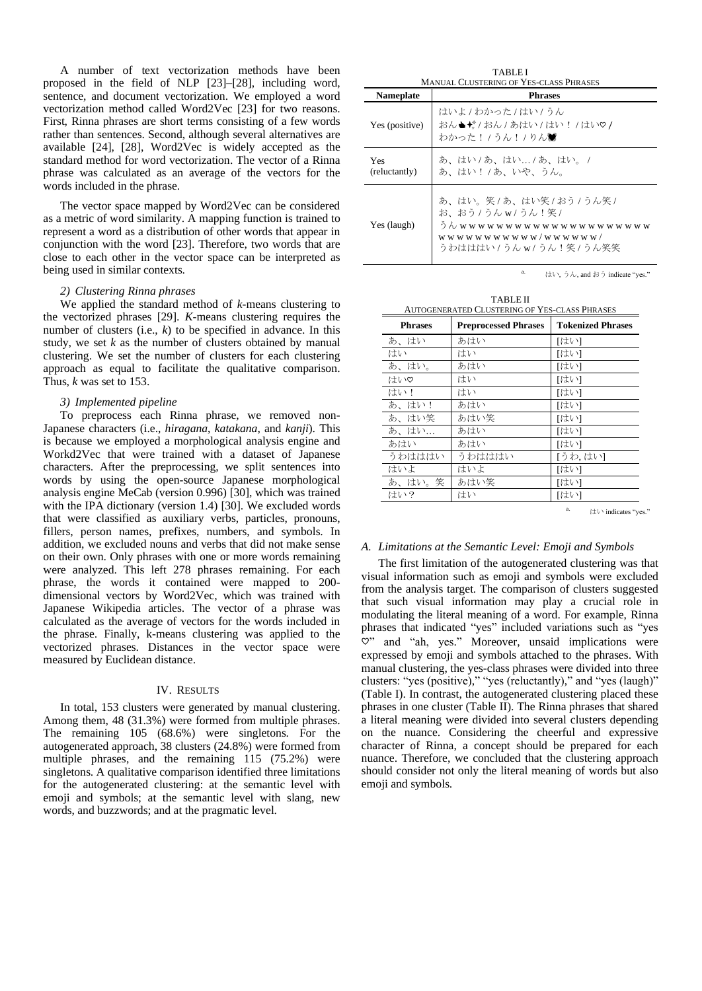A number of text vectorization methods have been proposed in the field of NLP [23]–[28], including word, sentence, and document vectorization. We employed a word vectorization method called Word2Vec [23] for two reasons. First, Rinna phrases are short terms consisting of a few words rather than sentences. Second, although several alternatives are available [24], [28], Word2Vec is widely accepted as the standard method for word vectorization. The vector of a Rinna phrase was calculated as an average of the vectors for the words included in the phrase.

The vector space mapped by Word2Vec can be considered as a metric of word similarity. A mapping function is trained to represent a word as a distribution of other words that appear in conjunction with the word [23]. Therefore, two words that are close to each other in the vector space can be interpreted as being used in similar contexts.

## *2) Clustering Rinna phrases*

We applied the standard method of *k*-means clustering to the vectorized phrases [29]. *K*-means clustering requires the number of clusters (i.e., *k*) to be specified in advance. In this study, we set *k* as the number of clusters obtained by manual clustering. We set the number of clusters for each clustering approach as equal to facilitate the qualitative comparison. Thus, *k* was set to 153.

#### *3) Implemented pipeline*

To preprocess each Rinna phrase, we removed non-Japanese characters (i.e., *hiragana*, *katakana*, and *kanji*). This is because we employed a morphological analysis engine and Workd2Vec that were trained with a dataset of Japanese characters. After the preprocessing, we split sentences into words by using the open-source Japanese morphological analysis engine MeCab (version 0.996) [30], which was trained with the IPA dictionary (version 1.4) [30]. We excluded words that were classified as auxiliary verbs, particles, pronouns, fillers, person names, prefixes, numbers, and symbols. In addition, we excluded nouns and verbs that did not make sense on their own. Only phrases with one or more words remaining were analyzed. This left 278 phrases remaining. For each phrase, the words it contained were mapped to 200 dimensional vectors by Word2Vec, which was trained with Japanese Wikipedia articles. The vector of a phrase was calculated as the average of vectors for the words included in the phrase. Finally, k-means clustering was applied to the vectorized phrases. Distances in the vector space were measured by Euclidean distance.

#### IV. RESULTS

In total, 153 clusters were generated by manual clustering. Among them, 48 (31.3%) were formed from multiple phrases. The remaining 105 (68.6%) were singletons. For the autogenerated approach, 38 clusters (24.8%) were formed from multiple phrases, and the remaining 115 (75.2%) were singletons. A qualitative comparison identified three limitations for the autogenerated clustering: at the semantic level with emoji and symbols; at the semantic level with slang, new words, and buzzwords; and at the pragmatic level.

| <b>TABLEI</b><br><b>MANUAL CLUSTERING OF YES-CLASS PHRASES</b> |                                                                                                                                                         |  |  |
|----------------------------------------------------------------|---------------------------------------------------------------------------------------------------------------------------------------------------------|--|--|
| <b>Nameplate</b>                                               | <b>Phrases</b>                                                                                                                                          |  |  |
| Yes (positive)                                                 | はいよ / わかった / はい / うん<br>おん▲ゼ/おん/あはい/はい!/はい♡/<br>わかった! / うん! / りん鶯                                                                                       |  |  |
| Yes<br>(reluctantly)                                           | あ、はい / あ、はい / あ、はい。 /<br>あ、はい!/あ、いや、うん。                                                                                                                 |  |  |
| Yes (laugh)                                                    | あ、はい。笑 / あ、はい笑 / おう / うん笑 /<br>お、おう / うんw/ うん!笑 /<br>うんwwwwwwwwww<br>wwwwwww<br>w w<br>w w w w w w w w w w / w w w w w w /<br>うわはははい / うんw/ うん!笑 / うん笑笑 |  |  |

a.  $\forall x \in \mathbb{R} \cup \forall y \in \mathbb{R}$ , and おう indicate "yes."

| <b>TABLE II</b><br><b>AUTOGENERATED CLUSTERING OF YES-CLASS PHRASES</b> |                             |                          |  |
|-------------------------------------------------------------------------|-----------------------------|--------------------------|--|
| <b>Phrases</b>                                                          | <b>Preprocessed Phrases</b> | <b>Tokenized Phrases</b> |  |
| あ、はい                                                                    | あはい                         | 「はい]                     |  |
| はい                                                                      | はい                          | 「はい]                     |  |
| あ、はい。                                                                   | あはい                         | 「はい]                     |  |
| はい♡                                                                     | はい                          | 「はい]                     |  |
| はい!                                                                     | はい                          | 「はい]                     |  |
| あ、はい!                                                                   | あはい                         | 「はい」                     |  |
| あ、はい笑                                                                   | あはい笑                        | 「はい]                     |  |
| あ、はい                                                                    | あはい                         | 「はい]                     |  |
| あはい                                                                     | あはい                         | 「はい」                     |  |
| うわはははい                                                                  | うわはははい                      | [うわ,はい]                  |  |
| はいよ                                                                     | はいよ                         | 「はい」                     |  |
| あ、はい。笑                                                                  | あはい笑                        | 「はい]                     |  |
| はい?                                                                     | はい                          | 「はい]                     |  |

はい indicates "ves."

#### *A. Limitations at the Semantic Level: Emoji and Symbols*

The first limitation of the autogenerated clustering was that visual information such as emoji and symbols were excluded from the analysis target. The comparison of clusters suggested that such visual information may play a crucial role in modulating the literal meaning of a word. For example, Rinna phrases that indicated "yes" included variations such as "yes ♡" and "ah, yes." Moreover, unsaid implications were expressed by emoji and symbols attached to the phrases. With manual clustering, the yes-class phrases were divided into three clusters: "yes (positive)," "yes (reluctantly)," and "yes (laugh)" (Table I). In contrast, the autogenerated clustering placed these phrases in one cluster (Table II). The Rinna phrases that shared a literal meaning were divided into several clusters depending on the nuance. Considering the cheerful and expressive character of Rinna, a concept should be prepared for each nuance. Therefore, we concluded that the clustering approach should consider not only the literal meaning of words but also emoji and symbols.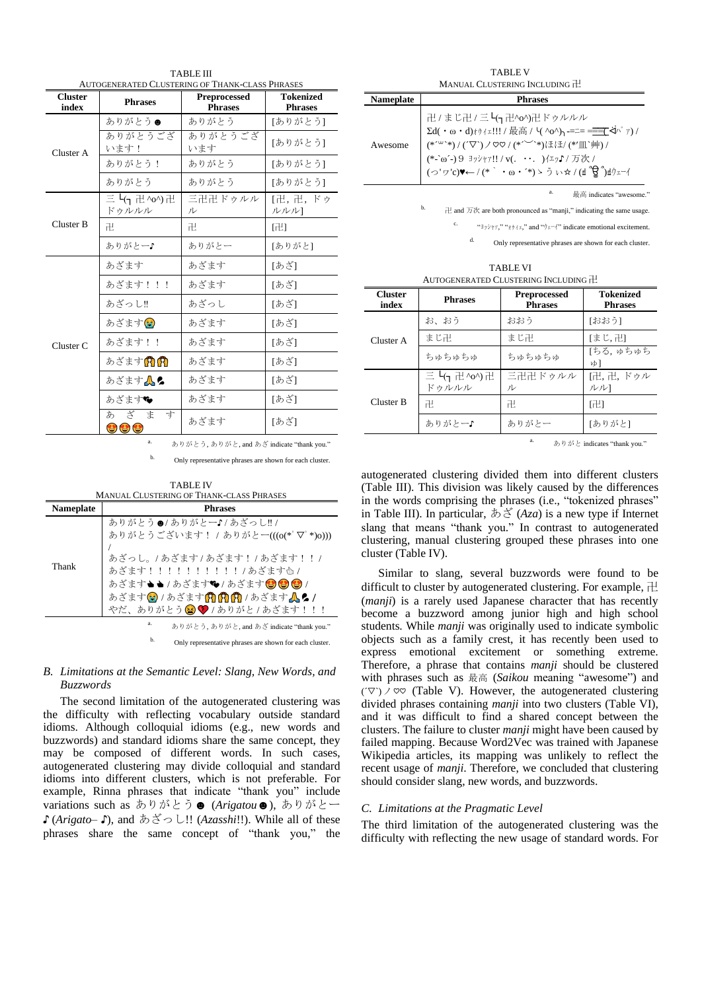| <b>AUTOGENERATED CLUSTERING OF THANK-CLASS PHRASES</b> |                                                           |                                       |                                    |
|--------------------------------------------------------|-----------------------------------------------------------|---------------------------------------|------------------------------------|
| <b>Cluster</b><br>index                                | <b>Phrases</b>                                            | <b>Preprocessed</b><br><b>Phrases</b> | <b>Tokenized</b><br><b>Phrases</b> |
| Cluster A                                              | ありがとう●                                                    | ありがとう                                 | [ありがとう]                            |
|                                                        | ありがとうござ<br>います!                                           | ありがとうござ<br>います                        | [ありがとう]                            |
|                                                        | ありがとう!                                                    | ありがとう                                 | [ありがとう]                            |
|                                                        | ありがとう                                                     | ありがとう                                 | [ありがとう]                            |
|                                                        | 三 4 <sub>7</sub> 卍 ^o^) 卍<br>ドゥルルル                        | 三卍卍ドゥルル<br>ル                          | [卍, 卍, ドゥ<br>ルルル1                  |
| Cluster B                                              | 卍                                                         | 卍.                                    | [卍]                                |
|                                                        | ありがとー♪                                                    | ありがとー                                 | [ありがと]                             |
|                                                        | あざます                                                      | あざます                                  | [あざ]                               |
|                                                        | あざます!!!                                                   | あざます                                  | [あざ]                               |
| Cluster <sub>C</sub>                                   | あざっし!!                                                    | あざっし                                  | 「あざ1                               |
|                                                        | あざます(の                                                    | あざます                                  | [あざ]                               |
|                                                        | あざます!!                                                    | あざます                                  | [あざ]                               |
|                                                        | あざます <mark>角角</mark>                                      | あざます                                  | [あざ]                               |
|                                                        | あざます人。                                                    | あざます                                  | [あざ]                               |
|                                                        | あざます❤                                                     | あざます                                  | [あざ]                               |
|                                                        | ざま<br>あ<br>寸<br>$\bm{\omega}$ $\bm{\omega}$ $\bm{\omega}$ | あざます                                  | [あざ]                               |

TABLE III

a. ありがとう, ありがと, and あざ indicate "thank you."

b. Only representative phrases are shown for each cluster.

| <b>TABLE IV</b>                                 |  |
|-------------------------------------------------|--|
| <b>MANUAL CLUSTERING OF THANK-CLASS PHRASES</b> |  |
|                                                 |  |

| <b>Nameplate</b> | <b>Phrases</b>                                                                                                                                                                          |  |
|------------------|-----------------------------------------------------------------------------------------------------------------------------------------------------------------------------------------|--|
| Thank            | ありがとう●/ありがとー♪/あざっし!!/<br>ありがとうございます! / ありがとー(((o(*゚▽゚*)o)))<br>あざっし。/あざます/あざます!/あざます!!/<br>あざます!!!!!!!!!!!/あざます<br>あざます▲▲/あざます♥/あざます◎◎◎/<br>あざます?/あざます?????<br>やだ、ありがとう3 ♥/ありがと/あざます!!! |  |
|                  | a.<br>ありがとう、ありがと, and あざ indicate "thank you."                                                                                                                                          |  |
|                  | b.<br>Only representative phrases are shown for each cluster.                                                                                                                           |  |

# *B. Limitations at the Semantic Level: Slang, New Words, and Buzzwords*

The second limitation of the autogenerated clustering was the difficulty with reflecting vocabulary outside standard idioms. Although colloquial idioms (e.g., new words and buzzwords) and standard idioms share the same concept, they may be composed of different words. In such cases, autogenerated clustering may divide colloquial and standard idioms into different clusters, which is not preferable. For example, Rinna phrases that indicate "thank you" include variations such as ありがとう☻ (*Arigatou*☻), ありがとー ♪ (*Arigato–* ♪), and あざっし!! (*Azasshi*!!). While all of these phrases share the same concept of "thank you," the

| <b>TABLE V</b>                |
|-------------------------------|
| MANUAL CLUSTERING INCLUDING H |

| <b>Nameplate</b> | <b>Phrases</b>                                                                                                                                                       |  |
|------------------|----------------------------------------------------------------------------------------------------------------------------------------------------------------------|--|
| Awesome          | 卍 / まじ卍 / 三 L(¬ 卍^o^)卍 ドゥルルル<br>(*´ <sup>ω</sup> `*)/(´▽`)/♡♡/(*´``*)ほほ/(*´皿`艸)/<br>(*-`ω´-)9 ヨッシャァ!!/v(. ・・. )イエッ♪/万次/<br>(つ'ヮ'c)♥← / (*`・ω・´*)ゝうぃ☆ / (ฮ゚ ਊ ゚)ฮウェーイ |  |

a.  $\qquad \qquad \frac{1}{10}$  最高 indicates "awesome.

b. 卍 and 万次 are both pronounced as "manji," indicating the same usage.

"ヨッシャァ," " $\star \phi \uparrow \tau$ ," and " $\phi \uparrow \neg \uparrow$ " indicate emotional excitement.

Only representative phrases are shown for each cluster.

TABLE VI AUTOGENERATED CLUSTERING INCLUDING 卍

| <b>Cluster</b><br>index | <b>Phrases</b>        | <b>Preprocessed</b><br><b>Phrases</b> | <b>Tokenized</b><br><b>Phrases</b> |
|-------------------------|-----------------------|---------------------------------------|------------------------------------|
| Cluster A               | お、おう                  | おおう                                   | [おおう]                              |
|                         | まじ卍                   | まじ卍                                   | [まじ、卍]                             |
|                         | ちゅちゅちゅ                | ちゅちゅちゅ                                | 「ちる、ゅちゅち<br>Wή                     |
| Cluster B               | 三 L(η 卍^o^)卍<br>ドゥルルル | 三卍卍ドゥルル<br>ル                          | 「卍, 卍, ドゥル<br>ルル1                  |
|                         | 卍                     | 卍                                     | 卍1                                 |
|                         | ありがとー♪                | ありがとー                                 | [ありがと]                             |

a. ありがと indicates "thank you."

autogenerated clustering divided them into different clusters (Table III). This division was likely caused by the differences in the words comprising the phrases (i.e., "tokenized phrases" in Table III). In particular, あざ (*Aza*) is a new type if Internet slang that means "thank you." In contrast to autogenerated clustering, manual clustering grouped these phrases into one cluster (Table IV).

Similar to slang, several buzzwords were found to be difficult to cluster by autogenerated clustering. For example,  $\pm$ (*manji*) is a rarely used Japanese character that has recently become a buzzword among junior high and high school students. While *manji* was originally used to indicate symbolic objects such as a family crest, it has recently been used to express emotional excitement or something extreme. Therefore, a phrase that contains *manji* should be clustered with phrases such as 最高 (*Saikou* meaning "awesome") and  $(\nabla)$   $\vee$   $\infty$  (Table V). However, the autogenerated clustering divided phrases containing *manji* into two clusters (Table VI), and it was difficult to find a shared concept between the clusters. The failure to cluster *manji* might have been caused by failed mapping. Because Word2Vec was trained with Japanese Wikipedia articles, its mapping was unlikely to reflect the recent usage of *manji*. Therefore, we concluded that clustering should consider slang, new words, and buzzwords.

## *C. Limitations at the Pragmatic Level*

The third limitation of the autogenerated clustering was the difficulty with reflecting the new usage of standard words. For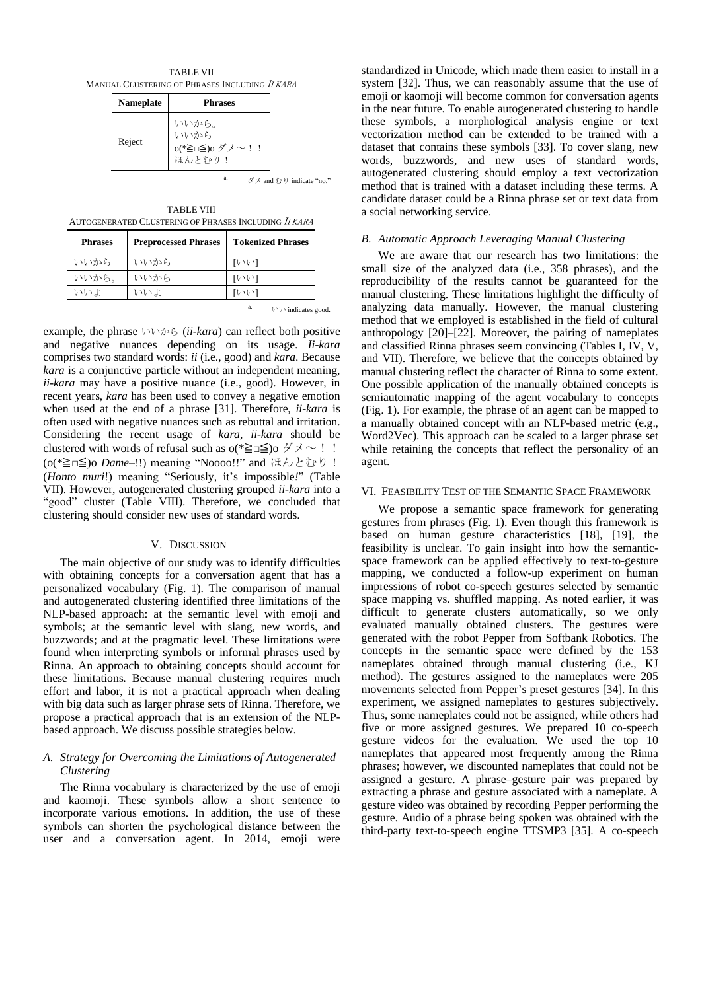TABLE VII MANUAL CLUSTERING OF PHRASES INCLUDING I<sup>I</sup> KARA

| <b>Nameplate</b> | <b>Phrases</b>                            |
|------------------|-------------------------------------------|
| Reject           | いいから。<br>いいから<br>o(*≧□≦)o ダメ〜!!<br>ほんとむり! |

ダメ and むり indicate "no."

TABLE VIII AUTOGENERATED CLUSTERING OF PHRASES INCLUDING I<sup>I</sup> KARA

| <b>Phrases</b> | <b>Preprocessed Phrases</b> | <b>Tokenized Phrases</b> |
|----------------|-----------------------------|--------------------------|
| いいから           | いいから                        | せいい                      |
| いいから。          | いいから                        | エレック・コ                   |
| いいよ            | いいよ                         | ひいい                      |
|                |                             | a.<br>いい indicates good. |

example, the phrase いいから (*ii-kara*) can reflect both positive and negative nuances depending on its usage. *Ii-kara* comprises two standard words: *ii* (i.e., good) and *kara*. Because *kara* is a conjunctive particle without an independent meaning, *ii-kara* may have a positive nuance (i.e., good). However, in recent years, *kara* has been used to convey a negative emotion when used at the end of a phrase [31]. Therefore, *ii-kara* is often used with negative nuances such as rebuttal and irritation. Considering the recent usage of *kara*, *ii-kara* should be clustered with words of refusal such as  $o(*\geq\equiv\leq)$ o ダメ $\sim$  !! (o(\*≧□≦)o *Dame–*!!) meaning "Noooo!!" and ほんとむり! (*Honto muri*!) meaning "Seriously, it's impossible*!*" (Table VII). However, autogenerated clustering grouped *ii-kara* into a "good" cluster (Table VIII). Therefore, we concluded that clustering should consider new uses of standard words.

#### V. DISCUSSION

The main objective of our study was to identify difficulties with obtaining concepts for a conversation agent that has a personalized vocabulary (Fig. 1). The comparison of manual and autogenerated clustering identified three limitations of the NLP-based approach: at the semantic level with emoji and symbols; at the semantic level with slang, new words, and buzzwords; and at the pragmatic level. These limitations were found when interpreting symbols or informal phrases used by Rinna. An approach to obtaining concepts should account for these limitations. Because manual clustering requires much effort and labor, it is not a practical approach when dealing with big data such as larger phrase sets of Rinna. Therefore, we propose a practical approach that is an extension of the NLPbased approach. We discuss possible strategies below.

# *A. Strategy for Overcoming the Limitations of Autogenerated Clustering*

The Rinna vocabulary is characterized by the use of emoji and kaomoji. These symbols allow a short sentence to incorporate various emotions. In addition, the use of these symbols can shorten the psychological distance between the user and a conversation agent. In 2014, emoji were

standardized in Unicode, which made them easier to install in a system [32]. Thus, we can reasonably assume that the use of emoji or kaomoji will become common for conversation agents in the near future. To enable autogenerated clustering to handle these symbols, a morphological analysis engine or text vectorization method can be extended to be trained with a dataset that contains these symbols [33]. To cover slang, new words, buzzwords, and new uses of standard words, autogenerated clustering should employ a text vectorization method that is trained with a dataset including these terms. A candidate dataset could be a Rinna phrase set or text data from a social networking service.

#### *B. Automatic Approach Leveraging Manual Clustering*

We are aware that our research has two limitations: the small size of the analyzed data (i.e., 358 phrases), and the reproducibility of the results cannot be guaranteed for the manual clustering. These limitations highlight the difficulty of analyzing data manually. However, the manual clustering method that we employed is established in the field of cultural anthropology [20]–[22]. Moreover, the pairing of nameplates and classified Rinna phrases seem convincing (Tables I, IV, V, and VII). Therefore, we believe that the concepts obtained by manual clustering reflect the character of Rinna to some extent. One possible application of the manually obtained concepts is semiautomatic mapping of the agent vocabulary to concepts (Fig. 1). For example, the phrase of an agent can be mapped to a manually obtained concept with an NLP-based metric (e.g., Word2Vec). This approach can be scaled to a larger phrase set while retaining the concepts that reflect the personality of an agent.

#### VI. FEASIBILITY TEST OF THE SEMANTIC SPACE FRAMEWORK

We propose a semantic space framework for generating gestures from phrases (Fig. 1). Even though this framework is based on human gesture characteristics [18], [19], the feasibility is unclear. To gain insight into how the semanticspace framework can be applied effectively to text-to-gesture mapping, we conducted a follow-up experiment on human impressions of robot co-speech gestures selected by semantic space mapping vs. shuffled mapping. As noted earlier, it was difficult to generate clusters automatically, so we only evaluated manually obtained clusters. The gestures were generated with the robot Pepper from Softbank Robotics. The concepts in the semantic space were defined by the 153 nameplates obtained through manual clustering (i.e., KJ method). The gestures assigned to the nameplates were 205 movements selected from Pepper's preset gestures [34]. In this experiment, we assigned nameplates to gestures subjectively. Thus, some nameplates could not be assigned, while others had five or more assigned gestures. We prepared 10 co-speech gesture videos for the evaluation. We used the top 10 nameplates that appeared most frequently among the Rinna phrases; however, we discounted nameplates that could not be assigned a gesture. A phrase–gesture pair was prepared by extracting a phrase and gesture associated with a nameplate. A gesture video was obtained by recording Pepper performing the gesture. Audio of a phrase being spoken was obtained with the third-party text-to-speech engine TTSMP3 [35]. A co-speech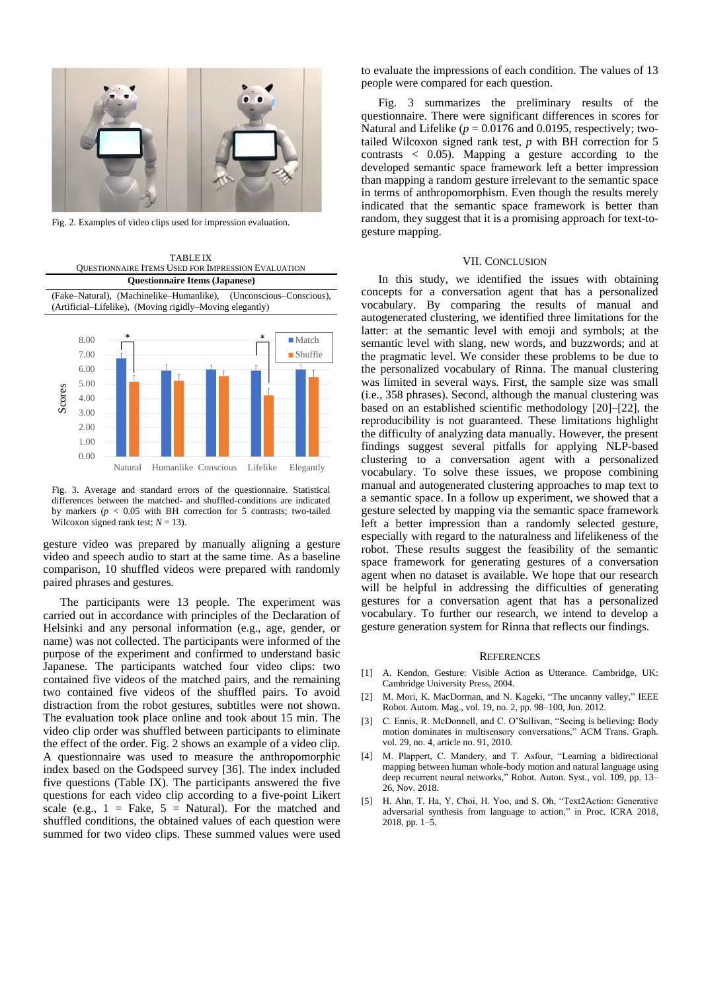

Fig. 2. Examples of video clips used for impression evaluation.



Fig. 3. Average and standard errors of the questionnaire. Statistical differences between the matched- and shuffled-conditions are indicated by markers ( $p < 0.05$  with BH correction for 5 contrasts; two-tailed Wilcoxon signed rank test;  $N = 13$ ).

gesture video was prepared by manually aligning a gesture video and speech audio to start at the same time. As a baseline comparison, 10 shuffled videos were prepared with randomly paired phrases and gestures.

The participants were 13 people. The experiment was carried out in accordance with principles of the Declaration of Helsinki and any personal information (e.g., age, gender, or name) was not collected. The participants were informed of the purpose of the experiment and confirmed to understand basic Japanese. The participants watched four video clips: two contained five videos of the matched pairs, and the remaining two contained five videos of the shuffled pairs. To avoid distraction from the robot gestures, subtitles were not shown. The evaluation took place online and took about 15 min. The video clip order was shuffled between participants to eliminate the effect of the order. Fig. 2 shows an example of a video clip. A questionnaire was used to measure the anthropomorphic index based on the Godspeed survey [36]. The index included five questions (Table IX). The participants answered the five questions for each video clip according to a five-point Likert scale (e.g.,  $1 =$  Fake,  $5 =$  Natural). For the matched and shuffled conditions, the obtained values of each question were summed for two video clips. These summed values were used

to evaluate the impressions of each condition. The values of 13 people were compared for each question.

Fig. 3 summarizes the preliminary results of the questionnaire. There were significant differences in scores for Natural and Lifelike ( $p = 0.0176$  and 0.0195, respectively; twotailed Wilcoxon signed rank test, *p* with BH correction for 5 contrasts  $\langle 0.05 \rangle$ . Mapping a gesture according to the developed semantic space framework left a better impression than mapping a random gesture irrelevant to the semantic space in terms of anthropomorphism. Even though the results merely indicated that the semantic space framework is better than random, they suggest that it is a promising approach for text-togesture mapping.

#### VII. CONCLUSION

In this study, we identified the issues with obtaining concepts for a conversation agent that has a personalized vocabulary. By comparing the results of manual and autogenerated clustering, we identified three limitations for the latter: at the semantic level with emoji and symbols; at the semantic level with slang, new words, and buzzwords; and at the pragmatic level. We consider these problems to be due to the personalized vocabulary of Rinna. The manual clustering was limited in several ways. First, the sample size was small (i.e., 358 phrases). Second, although the manual clustering was based on an established scientific methodology [20]–[22], the reproducibility is not guaranteed. These limitations highlight the difficulty of analyzing data manually. However, the present findings suggest several pitfalls for applying NLP-based clustering to a conversation agent with a personalized vocabulary. To solve these issues, we propose combining manual and autogenerated clustering approaches to map text to a semantic space. In a follow up experiment, we showed that a gesture selected by mapping via the semantic space framework left a better impression than a randomly selected gesture, especially with regard to the naturalness and lifelikeness of the robot. These results suggest the feasibility of the semantic space framework for generating gestures of a conversation agent when no dataset is available. We hope that our research will be helpful in addressing the difficulties of generating gestures for a conversation agent that has a personalized vocabulary. To further our research, we intend to develop a gesture generation system for Rinna that reflects our findings.

#### **REFERENCES**

- [1] A. Kendon, Gesture: Visible Action as Utterance. Cambridge, UK: Cambridge University Press, 2004.
- M. Mori, K. MacDorman, and N. Kageki, "The uncanny valley," IEEE Robot. Autom. Mag., vol. 19, no. 2, pp. 98–100, Jun. 2012.
- [3] C. Ennis, R. McDonnell, and C. O'Sullivan, "Seeing is believing: Body motion dominates in multisensory conversations," ACM Trans. Graph. vol. 29, no. 4, article no. 91, 2010.
- [4] M. Plappert, C. Mandery, and T. Asfour, "Learning a bidirectional mapping between human whole-body motion and natural language using deep recurrent neural networks," Robot. Auton. Syst., vol. 109, pp. 13– 26, Nov. 2018.
- [5] H. Ahn, T. Ha, Y. Choi, H. Yoo, and S. Oh, "Text2Action: Generative adversarial synthesis from language to action," in Proc. ICRA 2018, 2018, pp. 1–5.